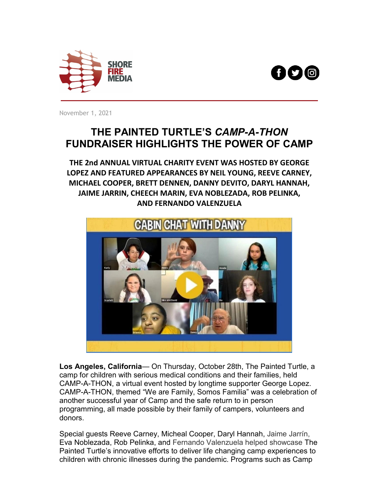



November 1, 2021

## **THE PAINTED TURTLE'S** *CAMP-A-THON* **FUNDRAISER HIGHLIGHTS THE POWER OF CAMP**

**THE 2nd ANNUAL VIRTUAL CHARITY EVENT WAS HOSTED BY GEORGE LOPEZ AND FEATURED APPEARANCES BY NEIL YOUNG, REEVE CARNEY, MICHAEL COOPER, BRETT DENNEN, DANNY DEVITO, DARYL HANNAH, JAIME JARRIN, CHEECH MARIN, EVA NOBLEZADA, ROB PELINKA, AND FERNANDO VALENZUELA**



**Los Angeles, California**— On Thursday, October 28th, The Painted Turtle, a camp for children with serious medical conditions and their families, held CAMP-A-THON, a virtual event hosted by longtime supporter George Lopez. CAMP-A-THON, themed "We are Family, Somos Familia" was a celebration of another successful year of Camp and the safe return to in person programming, all made possible by their family of campers, volunteers and donors.

Special guests Reeve Carney, Micheal Cooper, Daryl Hannah, Jaime Jarrín, Eva Noblezada, Rob Pelinka, and Fernando Valenzuela helped showcase The Painted Turtle's innovative efforts to deliver life changing camp experiences to children with chronic illnesses during the pandemic. Programs such as Camp